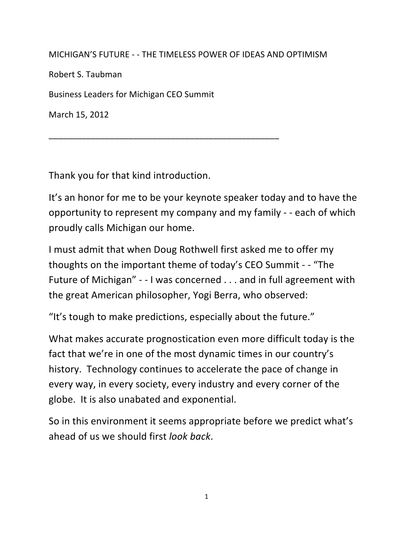MICHIGAN'S FUTURE - - THE TIMELESS POWER OF IDEAS AND OPTIMISM

Robert S. Taubman

Business Leaders for Michigan CEO Summit

\_\_\_\_\_\_\_\_\_\_\_\_\_\_\_\_\_\_\_\_\_\_\_\_\_\_\_\_\_\_\_\_\_\_\_\_\_\_\_\_\_\_\_\_\_\_\_\_\_

March 15, 2012

Thank you for that kind introduction.

It's an honor for me to be your keynote speaker today and to have the opportunity to represent my company and my family - - each of which proudly calls Michigan our home.

I must admit that when Doug Rothwell first asked me to offer my thoughts on the important theme of today's CEO Summit - - "The Future of Michigan" - - I was concerned . . . and in full agreement with the great American philosopher, Yogi Berra, who observed:

"It's tough to make predictions, especially about the future."

What makes accurate prognostication even more difficult today is the fact that we're in one of the most dynamic times in our country's history. Technology continues to accelerate the pace of change in every way, in every society, every industry and every corner of the globe. It is also unabated and exponential.

So in this environment it seems appropriate before we predict what's ahead of us we should first *look back*.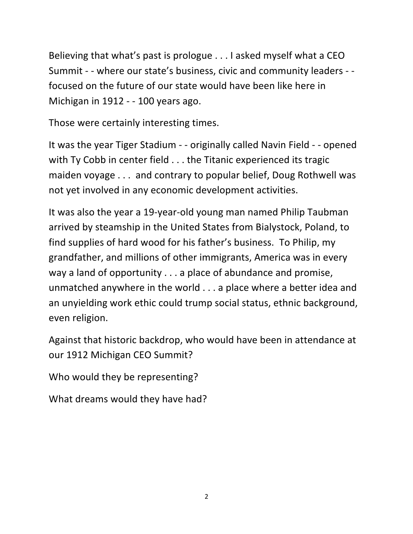Believing that what's past is prologue  $\dots$  I asked myself what a CEO Summit - - where our state's business, civic and community leaders - focused on the future of our state would have been like here in Michigan in 1912 - - 100 years ago.

Those were certainly interesting times.

It was the year Tiger Stadium - - originally called Navin Field - - opened with Ty Cobb in center field  $\dots$  the Titanic experienced its tragic maiden voyage . . . and contrary to popular belief, Doug Rothwell was not yet involved in any economic development activities.

It was also the year a 19-year-old young man named Philip Taubman arrived by steamship in the United States from Bialystock, Poland, to find supplies of hard wood for his father's business. To Philip, my grandfather, and millions of other immigrants, America was in every way a land of opportunity  $\dots$  a place of abundance and promise, unmatched anywhere in the world  $\dots$  a place where a better idea and an unyielding work ethic could trump social status, ethnic background, even religion.

Against that historic backdrop, who would have been in attendance at our 1912 Michigan CEO Summit?

Who would they be representing?

What dreams would they have had?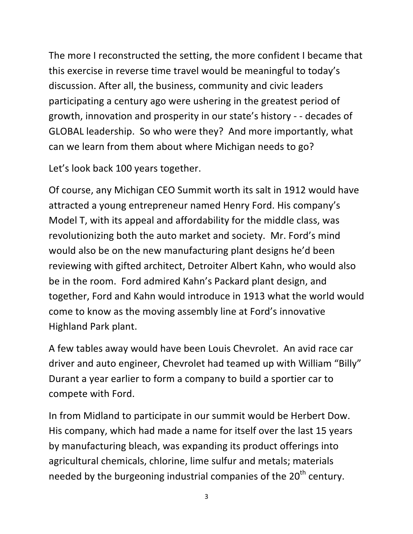The more I reconstructed the setting, the more confident I became that this exercise in reverse time travel would be meaningful to today's discussion. After all, the business, community and civic leaders participating a century ago were ushering in the greatest period of growth, innovation and prosperity in our state's history - - decades of GLOBAL leadership. So who were they? And more importantly, what can we learn from them about where Michigan needs to go?

Let's look back 100 years together.

Of course, any Michigan CEO Summit worth its salt in 1912 would have attracted a young entrepreneur named Henry Ford. His company's Model T, with its appeal and affordability for the middle class, was revolutionizing both the auto market and society. Mr. Ford's mind would also be on the new manufacturing plant designs he'd been reviewing with gifted architect, Detroiter Albert Kahn, who would also be in the room. Ford admired Kahn's Packard plant design, and together, Ford and Kahn would introduce in 1913 what the world would come to know as the moving assembly line at Ford's innovative Highland Park plant.

A few tables away would have been Louis Chevrolet. An avid race car driver and auto engineer, Chevrolet had teamed up with William "Billy" Durant a year earlier to form a company to build a sportier car to compete with Ford.

In from Midland to participate in our summit would be Herbert Dow. His company, which had made a name for itself over the last 15 years by manufacturing bleach, was expanding its product offerings into agricultural chemicals, chlorine, lime sulfur and metals; materials needed by the burgeoning industrial companies of the  $20<sup>th</sup>$  century.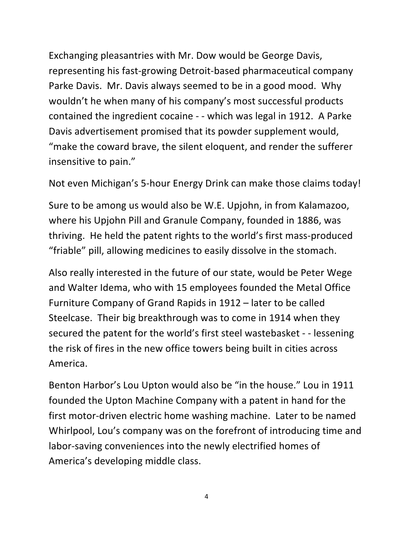Exchanging pleasantries with Mr. Dow would be George Davis, representing his fast-growing Detroit-based pharmaceutical company Parke Davis. Mr. Davis always seemed to be in a good mood. Why wouldn't he when many of his company's most successful products contained the ingredient cocaine - - which was legal in 1912. A Parke Davis advertisement promised that its powder supplement would, "make the coward brave, the silent eloquent, and render the sufferer insensitive to pain."

Not even Michigan's 5-hour Energy Drink can make those claims today!

Sure to be among us would also be W.E. Upjohn, in from Kalamazoo, where his Upjohn Pill and Granule Company, founded in 1886, was thriving. He held the patent rights to the world's first mass-produced "friable" pill, allowing medicines to easily dissolve in the stomach.

Also really interested in the future of our state, would be Peter Wege and Walter Idema, who with 15 employees founded the Metal Office Furniture Company of Grand Rapids in 1912 – later to be called Steelcase. Their big breakthrough was to come in 1914 when they secured the patent for the world's first steel wastebasket - - lessening the risk of fires in the new office towers being built in cities across America. 

Benton Harbor's Lou Upton would also be "in the house." Lou in 1911 founded the Upton Machine Company with a patent in hand for the first motor-driven electric home washing machine. Later to be named Whirlpool, Lou's company was on the forefront of introducing time and labor-saving conveniences into the newly electrified homes of America's developing middle class.

4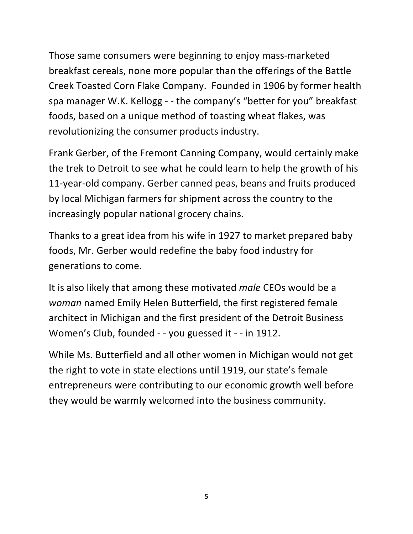Those same consumers were beginning to enjoy mass-marketed breakfast cereals, none more popular than the offerings of the Battle Creek Toasted Corn Flake Company. Founded in 1906 by former health spa manager W.K. Kellogg - - the company's "better for you" breakfast foods, based on a unique method of toasting wheat flakes, was revolutionizing the consumer products industry.

Frank Gerber, of the Fremont Canning Company, would certainly make the trek to Detroit to see what he could learn to help the growth of his 11-year-old company. Gerber canned peas, beans and fruits produced by local Michigan farmers for shipment across the country to the increasingly popular national grocery chains.

Thanks to a great idea from his wife in 1927 to market prepared baby foods, Mr. Gerber would redefine the baby food industry for generations to come.

It is also likely that among these motivated *male* CEOs would be a *woman* named Emily Helen Butterfield, the first registered female architect in Michigan and the first president of the Detroit Business Women's Club, founded - - you guessed it - - in 1912.

While Ms. Butterfield and all other women in Michigan would not get the right to vote in state elections until 1919, our state's female entrepreneurs were contributing to our economic growth well before they would be warmly welcomed into the business community.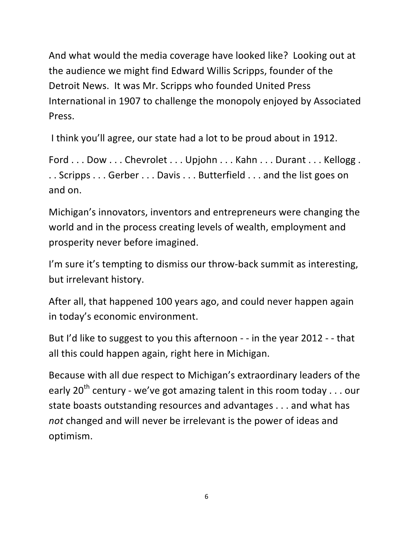And what would the media coverage have looked like? Looking out at the audience we might find Edward Willis Scripps, founder of the Detroit News. It was Mr. Scripps who founded United Press International in 1907 to challenge the monopoly enjoyed by Associated Press. 

I think you'll agree, our state had a lot to be proud about in 1912.

Ford ... Dow ... Chevrolet ... Upjohn ... Kahn ... Durant ... Kellogg . .. Scripps ... Gerber ... Davis ... Butterfield ... and the list goes on and on.

Michigan's innovators, inventors and entrepreneurs were changing the world and in the process creating levels of wealth, employment and prosperity never before imagined.

I'm sure it's tempting to dismiss our throw-back summit as interesting, but irrelevant history.

After all, that happened 100 years ago, and could never happen again in today's economic environment.

But I'd like to suggest to you this afternoon  $-$  - in the year 2012  $-$  - that all this could happen again, right here in Michigan.

Because with all due respect to Michigan's extraordinary leaders of the early  $20^{th}$  century - we've got amazing talent in this room today . . . our state boasts outstanding resources and advantages . . . and what has *not* changed and will never be irrelevant is the power of ideas and optimism.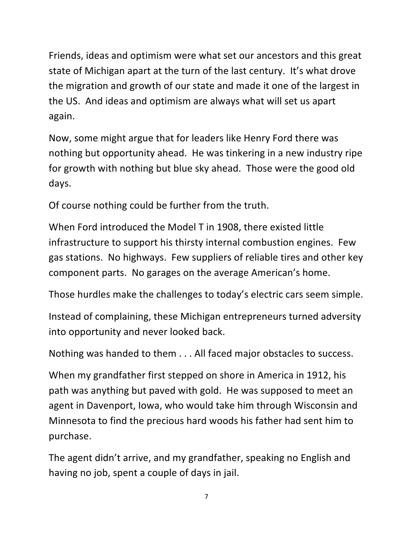Friends, ideas and optimism were what set our ancestors and this great state of Michigan apart at the turn of the last century. It's what drove the migration and growth of our state and made it one of the largest in the US. And ideas and optimism are always what will set us apart again.

Now, some might argue that for leaders like Henry Ford there was nothing but opportunity ahead. He was tinkering in a new industry ripe for growth with nothing but blue sky ahead. Those were the good old days.

Of course nothing could be further from the truth.

When Ford introduced the Model T in 1908, there existed little infrastructure to support his thirsty internal combustion engines. Few gas stations. No highways. Few suppliers of reliable tires and other key component parts. No garages on the average American's home.

Those hurdles make the challenges to today's electric cars seem simple.

Instead of complaining, these Michigan entrepreneurs turned adversity into opportunity and never looked back.

Nothing was handed to them . . . All faced major obstacles to success.

When my grandfather first stepped on shore in America in 1912, his path was anything but paved with gold. He was supposed to meet an agent in Davenport, Iowa, who would take him through Wisconsin and Minnesota to find the precious hard woods his father had sent him to purchase. 

The agent didn't arrive, and my grandfather, speaking no English and having no job, spent a couple of days in jail.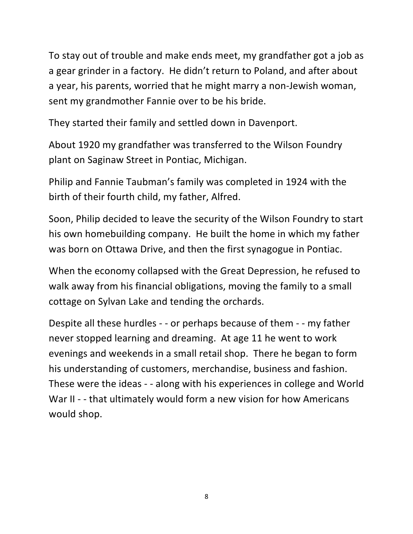To stay out of trouble and make ends meet, my grandfather got a job as a gear grinder in a factory. He didn't return to Poland, and after about a year, his parents, worried that he might marry a non-Jewish woman, sent my grandmother Fannie over to be his bride.

They started their family and settled down in Davenport.

About 1920 my grandfather was transferred to the Wilson Foundry plant on Saginaw Street in Pontiac, Michigan.

Philip and Fannie Taubman's family was completed in 1924 with the birth of their fourth child, my father, Alfred.

Soon, Philip decided to leave the security of the Wilson Foundry to start his own homebuilding company. He built the home in which my father was born on Ottawa Drive, and then the first synagogue in Pontiac.

When the economy collapsed with the Great Depression, he refused to walk away from his financial obligations, moving the family to a small cottage on Sylvan Lake and tending the orchards.

Despite all these hurdles - - or perhaps because of them - - my father never stopped learning and dreaming. At age 11 he went to work evenings and weekends in a small retail shop. There he began to form his understanding of customers, merchandise, business and fashion. These were the ideas - - along with his experiences in college and World War II - - that ultimately would form a new vision for how Americans would shop.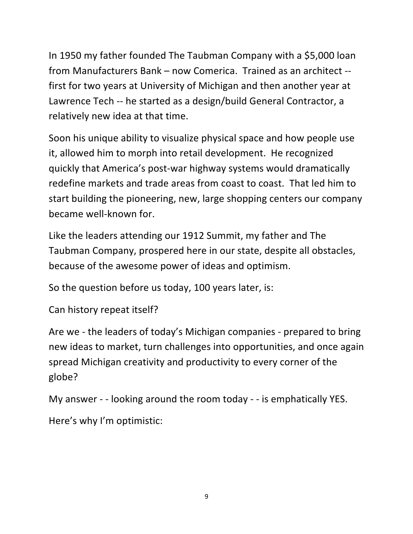In 1950 my father founded The Taubman Company with a \$5,000 loan from Manufacturers Bank – now Comerica. Trained as an architect -first for two years at University of Michigan and then another year at Lawrence Tech -- he started as a design/build General Contractor, a relatively new idea at that time.

Soon his unique ability to visualize physical space and how people use it, allowed him to morph into retail development. He recognized quickly that America's post-war highway systems would dramatically redefine markets and trade areas from coast to coast. That led him to start building the pioneering, new, large shopping centers our company became well-known for.

Like the leaders attending our 1912 Summit, my father and The Taubman Company, prospered here in our state, despite all obstacles, because of the awesome power of ideas and optimism.

So the question before us today, 100 years later, is:

Can history repeat itself?

Are we - the leaders of today's Michigan companies - prepared to bring new ideas to market, turn challenges into opportunities, and once again spread Michigan creativity and productivity to every corner of the globe?

My answer - - looking around the room today - - is emphatically YES. Here's why I'm optimistic: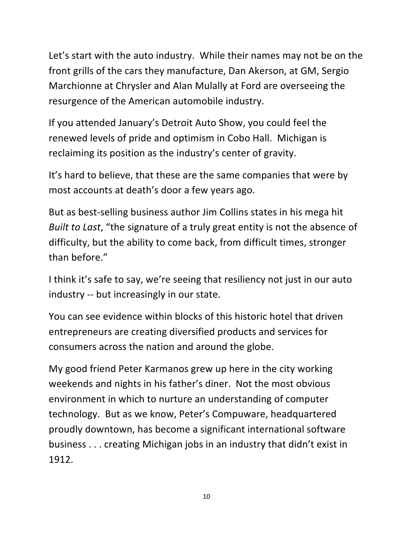Let's start with the auto industry. While their names may not be on the front grills of the cars they manufacture, Dan Akerson, at GM, Sergio Marchionne at Chrysler and Alan Mulally at Ford are overseeing the resurgence of the American automobile industry.

If you attended January's Detroit Auto Show, you could feel the renewed levels of pride and optimism in Cobo Hall. Michigan is reclaiming its position as the industry's center of gravity.

It's hard to believe, that these are the same companies that were by most accounts at death's door a few years ago.

But as best-selling business author Jim Collins states in his mega hit *Built to Last*, "the signature of a truly great entity is not the absence of difficulty, but the ability to come back, from difficult times, stronger than before."

I think it's safe to say, we're seeing that resiliency not just in our auto industry -- but increasingly in our state.

You can see evidence within blocks of this historic hotel that driven entrepreneurs are creating diversified products and services for consumers across the nation and around the globe.

My good friend Peter Karmanos grew up here in the city working weekends and nights in his father's diner. Not the most obvious environment in which to nurture an understanding of computer technology. But as we know, Peter's Compuware, headquartered proudly downtown, has become a significant international software business ... creating Michigan jobs in an industry that didn't exist in 1912.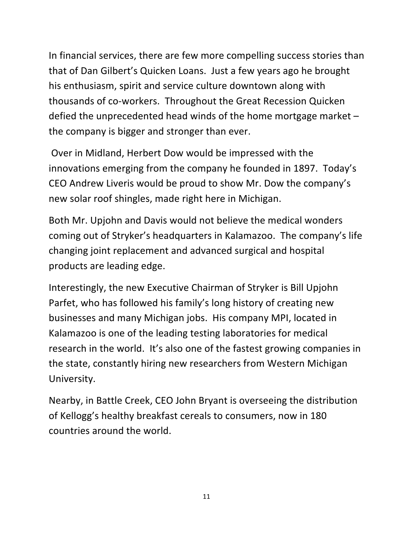In financial services, there are few more compelling success stories than that of Dan Gilbert's Quicken Loans. Just a few years ago he brought his enthusiasm, spirit and service culture downtown along with thousands of co-workers. Throughout the Great Recession Quicken defied the unprecedented head winds of the home mortgage market  $$ the company is bigger and stronger than ever.

Over in Midland, Herbert Dow would be impressed with the innovations emerging from the company he founded in 1897. Today's CEO Andrew Liveris would be proud to show Mr. Dow the company's new solar roof shingles, made right here in Michigan.

Both Mr. Upjohn and Davis would not believe the medical wonders coming out of Stryker's headquarters in Kalamazoo. The company's life changing joint replacement and advanced surgical and hospital products are leading edge.

Interestingly, the new Executive Chairman of Stryker is Bill Upjohn Parfet, who has followed his family's long history of creating new businesses and many Michigan jobs. His company MPI, located in Kalamazoo is one of the leading testing laboratories for medical research in the world. It's also one of the fastest growing companies in the state, constantly hiring new researchers from Western Michigan University.

Nearby, in Battle Creek, CEO John Bryant is overseeing the distribution of Kellogg's healthy breakfast cereals to consumers, now in 180 countries around the world.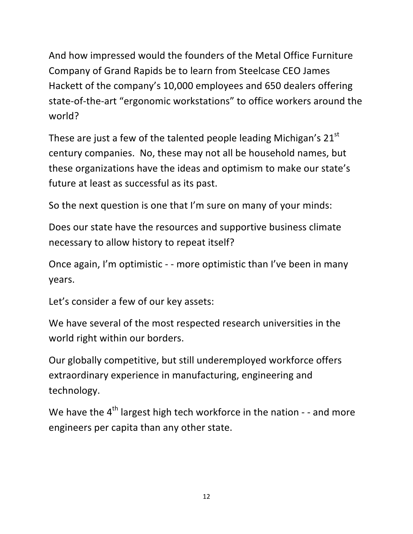And how impressed would the founders of the Metal Office Furniture Company of Grand Rapids be to learn from Steelcase CEO James Hackett of the company's 10,000 employees and 650 dealers offering state-of-the-art "ergonomic workstations" to office workers around the world? 

These are just a few of the talented people leading Michigan's  $21<sup>st</sup>$ century companies. No, these may not all be household names, but these organizations have the ideas and optimism to make our state's future at least as successful as its past.

So the next question is one that I'm sure on many of your minds:

Does our state have the resources and supportive business climate necessary to allow history to repeat itself?

Once again, I'm optimistic - - more optimistic than I've been in many years.

Let's consider a few of our key assets:

We have several of the most respected research universities in the world right within our borders.

Our globally competitive, but still underemployed workforce offers extraordinary experience in manufacturing, engineering and technology.

We have the  $4<sup>th</sup>$  largest high tech workforce in the nation - - and more engineers per capita than any other state.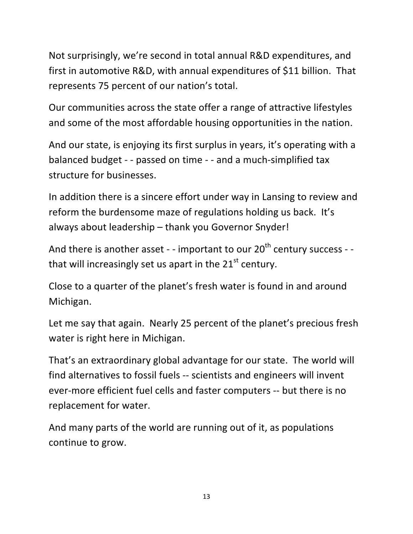Not surprisingly, we're second in total annual R&D expenditures, and first in automotive R&D, with annual expenditures of \$11 billion. That represents 75 percent of our nation's total.

Our communities across the state offer a range of attractive lifestyles and some of the most affordable housing opportunities in the nation.

And our state, is enjoying its first surplus in years, it's operating with a balanced budget - - passed on time - - and a much-simplified tax structure for businesses.

In addition there is a sincere effort under way in Lansing to review and reform the burdensome maze of regulations holding us back. It's always about leadership - thank you Governor Snyder!

And there is another asset - - important to our  $20^{th}$  century success - that will increasingly set us apart in the  $21<sup>st</sup>$  century.

Close to a quarter of the planet's fresh water is found in and around Michigan.

Let me say that again. Nearly 25 percent of the planet's precious fresh water is right here in Michigan.

That's an extraordinary global advantage for our state. The world will find alternatives to fossil fuels -- scientists and engineers will invent ever-more efficient fuel cells and faster computers -- but there is no replacement for water.

And many parts of the world are running out of it, as populations continue to grow.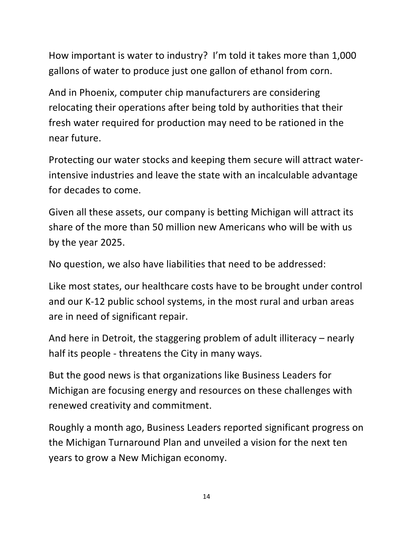How important is water to industry? I'm told it takes more than 1,000 gallons of water to produce just one gallon of ethanol from corn.

And in Phoenix, computer chip manufacturers are considering relocating their operations after being told by authorities that their fresh water required for production may need to be rationed in the near future.

Protecting our water stocks and keeping them secure will attract waterintensive industries and leave the state with an incalculable advantage for decades to come.

Given all these assets, our company is betting Michigan will attract its share of the more than 50 million new Americans who will be with us by the year 2025.

No question, we also have liabilities that need to be addressed:

Like most states, our healthcare costs have to be brought under control and our K-12 public school systems, in the most rural and urban areas are in need of significant repair.

And here in Detroit, the staggering problem of adult illiteracy  $-$  nearly half its people - threatens the City in many ways.

But the good news is that organizations like Business Leaders for Michigan are focusing energy and resources on these challenges with renewed creativity and commitment.

Roughly a month ago, Business Leaders reported significant progress on the Michigan Turnaround Plan and unveiled a vision for the next ten years to grow a New Michigan economy.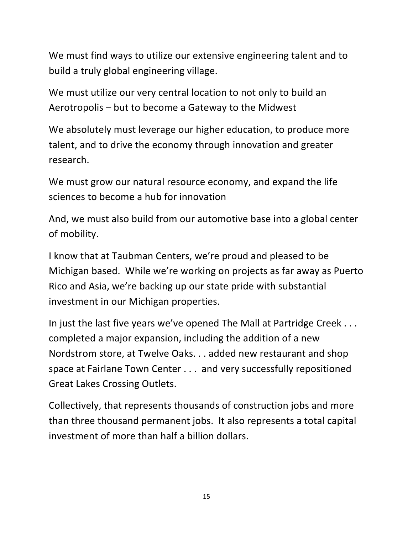We must find ways to utilize our extensive engineering talent and to build a truly global engineering village.

We must utilize our very central location to not only to build an Aerotropolis – but to become a Gateway to the Midwest

We absolutely must leverage our higher education, to produce more talent, and to drive the economy through innovation and greater research.

We must grow our natural resource economy, and expand the life sciences to become a hub for innovation

And, we must also build from our automotive base into a global center of mobility.

I know that at Taubman Centers, we're proud and pleased to be Michigan based. While we're working on projects as far away as Puerto Rico and Asia, we're backing up our state pride with substantial investment in our Michigan properties.

In just the last five years we've opened The Mall at Partridge Creek . . . completed a major expansion, including the addition of a new Nordstrom store, at Twelve Oaks. . . added new restaurant and shop space at Fairlane Town Center . . . and very successfully repositioned Great Lakes Crossing Outlets.

Collectively, that represents thousands of construction jobs and more than three thousand permanent jobs. It also represents a total capital investment of more than half a billion dollars.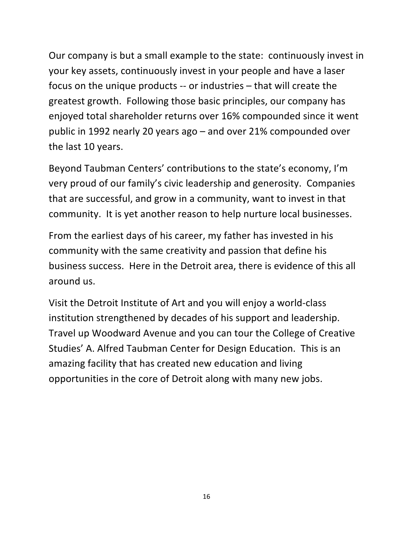Our company is but a small example to the state: continuously invest in your key assets, continuously invest in your people and have a laser focus on the unique products  $-$  or industries  $-$  that will create the greatest growth. Following those basic principles, our company has enjoyed total shareholder returns over 16% compounded since it went public in 1992 nearly 20 years  $ago$  – and over 21% compounded over the last 10 years.

Beyond Taubman Centers' contributions to the state's economy, I'm very proud of our family's civic leadership and generosity. Companies that are successful, and grow in a community, want to invest in that community. It is yet another reason to help nurture local businesses.

From the earliest days of his career, my father has invested in his community with the same creativity and passion that define his business success. Here in the Detroit area, there is evidence of this all around us.

Visit the Detroit Institute of Art and you will enjoy a world-class institution strengthened by decades of his support and leadership. Travel up Woodward Avenue and you can tour the College of Creative Studies' A. Alfred Taubman Center for Design Education. This is an amazing facility that has created new education and living opportunities in the core of Detroit along with many new jobs.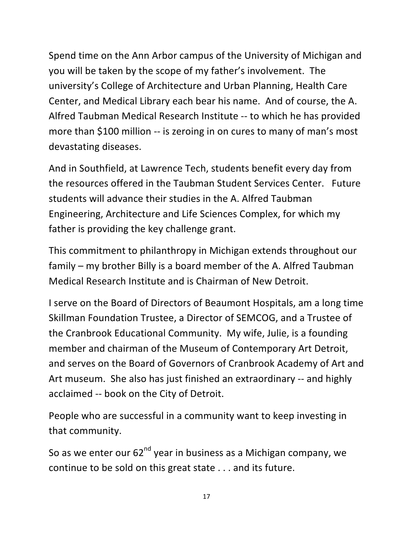Spend time on the Ann Arbor campus of the University of Michigan and you will be taken by the scope of my father's involvement. The university's College of Architecture and Urban Planning, Health Care Center, and Medical Library each bear his name. And of course, the A. Alfred Taubman Medical Research Institute -- to which he has provided more than \$100 million -- is zeroing in on cures to many of man's most devastating diseases.

And in Southfield, at Lawrence Tech, students benefit every day from the resources offered in the Taubman Student Services Center. Future students will advance their studies in the A. Alfred Taubman Engineering, Architecture and Life Sciences Complex, for which my father is providing the key challenge grant.

This commitment to philanthropy in Michigan extends throughout our family – my brother Billy is a board member of the A. Alfred Taubman Medical Research Institute and is Chairman of New Detroit.

I serve on the Board of Directors of Beaumont Hospitals, am a long time Skillman Foundation Trustee, a Director of SEMCOG, and a Trustee of the Cranbrook Educational Community. My wife, Julie, is a founding member and chairman of the Museum of Contemporary Art Detroit, and serves on the Board of Governors of Cranbrook Academy of Art and Art museum. She also has just finished an extraordinary -- and highly acclaimed -- book on the City of Detroit.

People who are successful in a community want to keep investing in that community.

So as we enter our  $62<sup>nd</sup>$  year in business as a Michigan company, we continue to be sold on this great state . . . and its future.